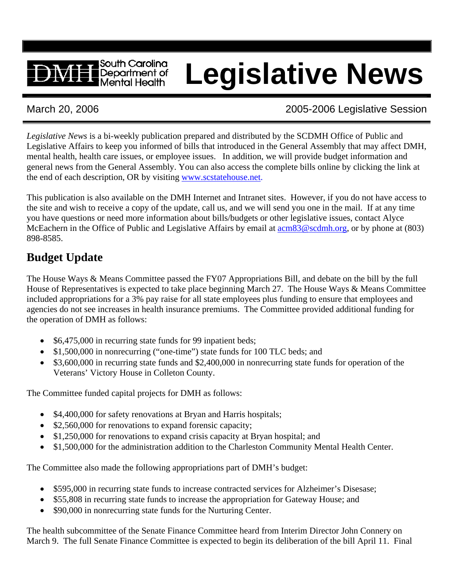# **Legislative News**

# March 20, 2006 2005-2006 Legislative Session

*Legislative News* is a bi-weekly publication prepared and distributed by the SCDMH Office of Public and Legislative Affairs to keep you informed of bills that introduced in the General Assembly that may affect DMH, mental health, health care issues, or employee issues. In addition, we will provide budget information and general news from the General Assembly. You can also access the complete bills online by clicking the link at the end of each description, OR by visiting [www.scstatehouse.net.](http://www.scstatehouse.net/)

This publication is also available on the DMH Internet and Intranet sites. However, if you do not have access to the site and wish to receive a copy of the update, call us, and we will send you one in the mail. If at any time you have questions or need more information about bills/budgets or other legislative issues, contact Alyce McEachern in the Office of Public and Legislative Affairs by email at  $\alpha$  [acm83@scdmh.org,](mailto:acm83@scdmh.org) or by phone at (803) 898-8585.

# **Budget Update**

The House Ways & Means Committee passed the FY07 Appropriations Bill, and debate on the bill by the full House of Representatives is expected to take place beginning March 27. The House Ways & Means Committee included appropriations for a 3% pay raise for all state employees plus funding to ensure that employees and agencies do not see increases in health insurance premiums. The Committee provided additional funding for the operation of DMH as follows:

- \$6,475,000 in recurring state funds for 99 inpatient beds;
- \$1,500,000 in nonrecurring ("one-time") state funds for 100 TLC beds; and
- \$3,600,000 in recurring state funds and \$2,400,000 in nonrecurring state funds for operation of the Veterans' Victory House in Colleton County.

The Committee funded capital projects for DMH as follows:

South Carolina Department of Mental Health

- \$4,400,000 for safety renovations at Bryan and Harris hospitals;
- \$2,560,000 for renovations to expand forensic capacity;
- \$1,250,000 for renovations to expand crisis capacity at Bryan hospital; and
- \$1,500,000 for the administration addition to the Charleston Community Mental Health Center.

The Committee also made the following appropriations part of DMH's budget:

- \$595,000 in recurring state funds to increase contracted services for Alzheimer's Disesase;
- \$55,808 in recurring state funds to increase the appropriation for Gateway House; and
- \$90,000 in nonrecurring state funds for the Nurturing Center.

The health subcommittee of the Senate Finance Committee heard from Interim Director John Connery on March 9. The full Senate Finance Committee is expected to begin its deliberation of the bill April 11. Final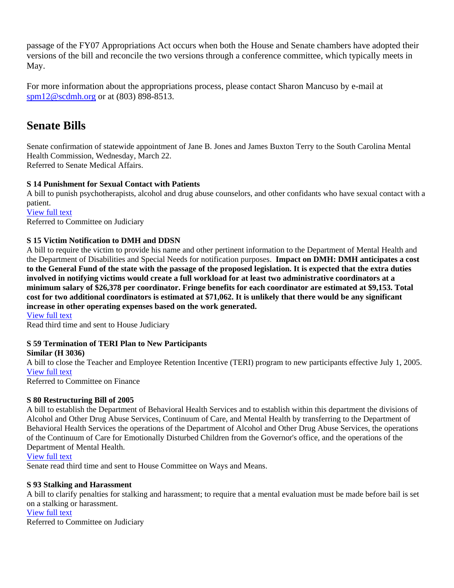passage of the FY07 Appropriations Act occurs when both the House and Senate chambers have adopted their versions of the bill and reconcile the two versions through a conference committee, which typically meets in May.

For more information about the appropriations process, please contact Sharon Mancuso by e-mail at [spm12@scdmh.org](mailto:spm12@scdmh.org) or at (803) 898-8513.

# **Senate Bills**

Senate confirmation of statewide appointment of Jane B. Jones and James Buxton Terry to the South Carolina Mental Health Commission, Wednesday, March 22. Referred to Senate Medical Affairs.

#### **S 14 Punishment for Sexual Contact with Patients**

A bill to punish psychotherapists, alcohol and drug abuse counselors, and other confidants who have sexual contact with a patient.

[View full text](http://www.scstatehouse.net/sess116_2005-2006/bills/14.htm)

Referred to Committee on Judiciary

#### **S 15 Victim Notification to DMH and DDSN**

A bill to require the victim to provide his name and other pertinent information to the Department of Mental Health and the Department of Disabilities and Special Needs for notification purposes. **Impact on DMH: DMH anticipates a cost to the General Fund of the state with the passage of the proposed legislation. It is expected that the extra duties involved in notifying victims would create a full workload for at least two administrative coordinators at a minimum salary of \$26,378 per coordinator. Fringe benefits for each coordinator are estimated at \$9,153. Total cost for two additional coordinators is estimated at \$71,062. It is unlikely that there would be any significant increase in other operating expenses based on the work generated.** 

[View full text](http://www.scstatehouse.net/sess116_2005-2006/bills/15.htm)

Read third time and sent to House Judiciary

#### **S 59 Termination of TERI Plan to New Participants**

**Similar (H 3036)**  A bill to close the Teacher and Employee Retention Incentive (TERI) program to new participants effective July 1, 2005. [View full text](http://www.scstatehouse.net/sess116_2005-2006/bills/59.htm)

Referred to Committee on Finance

#### **S 80 Restructuring Bill of 2005**

A bill to establish the Department of Behavioral Health Services and to establish within this department the divisions of Alcohol and Other Drug Abuse Services, Continuum of Care, and Mental Health by transferring to the Department of Behavioral Health Services the operations of the Department of Alcohol and Other Drug Abuse Services, the operations of the Continuum of Care for Emotionally Disturbed Children from the Governor's office, and the operations of the Department of Mental Health.

[View full text](http://www.scstatehouse.net/sess116_2005-2006/bills/80.htm)

Senate read third time and sent to House Committee on Ways and Means.

#### **S 93 Stalking and Harassment**

A bill to clarify penalties for stalking and harassment; to require that a mental evaluation must be made before bail is set on a stalking or harassment.

#### [View full text](http://www.scstatehouse.net/sess116_2005-2006/bills/93.htm)

Referred to Committee on Judiciary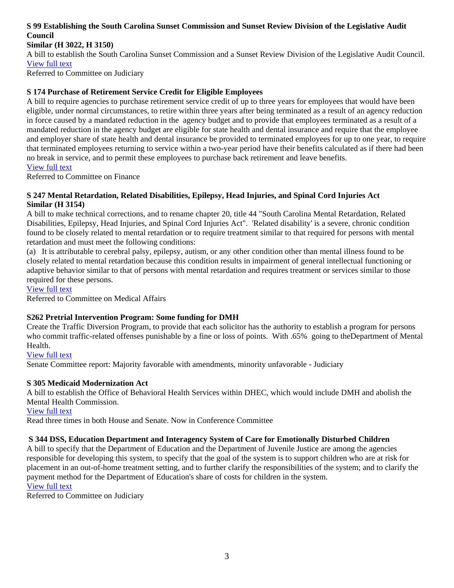#### **S 99 Establishing the South Carolina Sunset Commission and Sunset Review Division of the Legislative Audit Council**

#### **Similar (H 3022, H 3150)**

A bill to establish the South Carolina Sunset Commission and a Sunset Review Division of the Legislative Audit Council. [View full text](http://www.scstatehouse.net/sess116_2005-2006/bills/99.htm)

Referred to Committee on Judiciary

#### **S 174 Purchase of Retirement Service Credit for Eligible Employees**

A bill to require agencies to purchase retirement service credit of up to three years for employees that would have been eligible, under normal circumstances, to retire within three years after being terminated as a result of an agency reduction in force caused by a mandated reduction in the agency budget and to provide that employees terminated as a result of a mandated reduction in the agency budget are eligible for state health and dental insurance and require that the employee and employer share of state health and dental insurance be provided to terminated employees for up to one year, to require that terminated employees returning to service within a two-year period have their benefits calculated as if there had been no break in service, and to permit these employees to purchase back retirement and leave benefits. [View full text](http://www.scstatehouse.net/sess116_2005-2006/bills/174.htm)

Referred to Committee on Finance

#### **S 247 Mental Retardation, Related Disabilities, Epilepsy, Head Injuries, and Spinal Cord Injuries Act Similar (H 3154)**

A bill to make technical corrections, and to rename chapter 20, title 44 "South Carolina Mental Retardation, Related Disabilities, Epilepsy, Head Injuries, and Spinal Cord Injuries Act". 'Related disability' is a severe, chronic condition found to be closely related to mental retardation or to require treatment similar to that required for persons with mental retardation and must meet the following conditions:

(a) It is attributable to cerebral palsy, epilepsy, autism, or any other condition other than mental illness found to be closely related to mental retardation because this condition results in impairment of general intellectual functioning or adaptive behavior similar to that of persons with mental retardation and requires treatment or services similar to those required for these persons.

[View full text](http://www.scstatehouse.net/sess116_2005-2006/bills/247.htm)

Referred to Committee on Medical Affairs

#### **S262 Pretrial Intervention Program: Some funding for DMH**

Create the Traffic Diversion Program, to provide that each solicitor has the authority to establish a program for persons who commit traffic-related offenses punishable by a fine or loss of points. With .65% going to theDepartment of Mental Health.

[View full text](http://www.scstatehouse.net/sess116_2005-2006/bills/262.htm)

Senate Committee report: Majority favorable with amendments, minority unfavorable - Judiciary

#### **S 305 Medicaid Modernization Act**

A bill to establish the Office of Behavioral Health Services within DHEC, which would include DMH and abolish the Mental Health Commission. [View full text](http://www.scstatehouse.net/sess116_2005-2006/bills/305.htm)

Read three times in both House and Senate. Now in Conference Committee

#### **S 344 DSS, Education Department and Interagency System of Care for Emotionally Disturbed Children**

A bill to specify that the Department of Education and the Department of Juvenile Justice are among the agencies responsible for developing this system, to specify that the goal of the system is to support children who are at risk for placement in an out-of-home treatment setting, and to further clarify the responsibilities of the system; and to clarify the payment method for the Department of Education's share of costs for children in the system. [View full text](http://www.scstatehouse.net/sess116_2005-2006/bills/344.htm)

Referred to Committee on Judiciary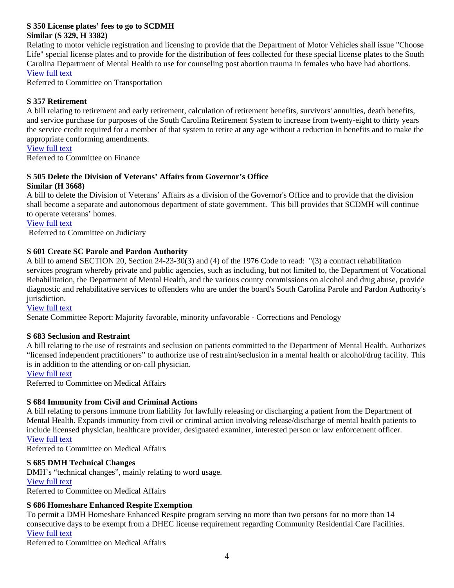#### **S 350 License plates' fees to go to SCDMH Similar (S 329, H 3382)**

Relating to motor vehicle registration and licensing to provide that the Department of Motor Vehicles shall issue "Choose Life" special license plates and to provide for the distribution of fees collected for these special license plates to the South Carolina Department of Mental Health to use for counseling post abortion trauma in females who have had abortions. [View full text](http://www.scstatehouse.net/sess116_2005-2006/bills/350.htm)

Referred to Committee on Transportation

#### **S 357 Retirement**

A bill relating to retirement and early retirement, calculation of retirement benefits, survivors' annuities, death benefits, and service purchase for purposes of the South Carolina Retirement System to increase from twenty-eight to thirty years the service credit required for a member of that system to retire at any age without a reduction in benefits and to make the appropriate conforming amendments.

#### [View full text](http://www.scstatehouse.net/sess116_2005-2006/bills/357.htm)

Referred to Committee on Finance

#### **S 505 Delete the Division of Veterans' Affairs from Governor's Office Similar (H 3668)**

A bill to delete the Division of Veterans' Affairs as a division of the Governor's Office and to provide that the division shall become a separate and autonomous department of state government. This bill provides that SCDMH will continue to operate veterans' homes.

[View full text](http://www.scstatehouse.net/sess116_2005-2006/bills/505.htm)

Referred to Committee on Judiciary

#### **S 601 Create SC Parole and Pardon Authority**

A bill to amend SECTION 20, Section 24-23-30(3) and (4) of the 1976 Code to read: "(3) a contract rehabilitation services program whereby private and public agencies, such as including, but not limited to, the Department of Vocational Rehabilitation, the Department of Mental Health, and the various county commissions on alcohol and drug abuse, provide diagnostic and rehabilitative services to offenders who are under the board's South Carolina Parole and Pardon Authority's jurisdiction.

[View full text](http://www.scstatehouse.net/sess116_2005-2006/bills/601.htm)

Senate Committee Report: Majority favorable, minority unfavorable - Corrections and Penology

#### **S 683 Seclusion and Restraint**

A bill relating to the use of restraints and seclusion on patients committed to the Department of Mental Health. Authorizes "licensed independent practitioners" to authorize use of restraint/seclusion in a mental health or alcohol/drug facility. This is in addition to the attending or on-call physician.

[View full text](http://www.scstatehouse.net/sess116_2005-2006/bills/683.htm)

Referred to Committee on Medical Affairs

#### **S 684 Immunity from Civil and Criminal Actions**

A bill relating to persons immune from liability for lawfully releasing or discharging a patient from the Department of Mental Health. Expands immunity from civil or criminal action involving release/discharge of mental health patients to include licensed physician, healthcare provider, designated examiner, interested person or law enforcement officer. [View full text](http://www.scstatehouse.net/sess116_2005-2006/bills/684.htm)

Referred to Committee on Medical Affairs

#### **S 685 DMH Technical Changes**

DMH's "technical changes", mainly relating to word usage. [View full text](http://www.scstatehouse.net/sess116_2005-2006/bills/685.htm) Referred to Committee on Medical Affairs

#### **S 686 Homeshare Enhanced Respite Exemption**

To permit a DMH Homeshare Enhanced Respite program serving no more than two persons for no more than 14 consecutive days to be exempt from a DHEC license requirement regarding Community Residential Care Facilities. [View full text](http://www.scstatehouse.net/sess116_2005-2006/bills/686.htm)

Referred to Committee on Medical Affairs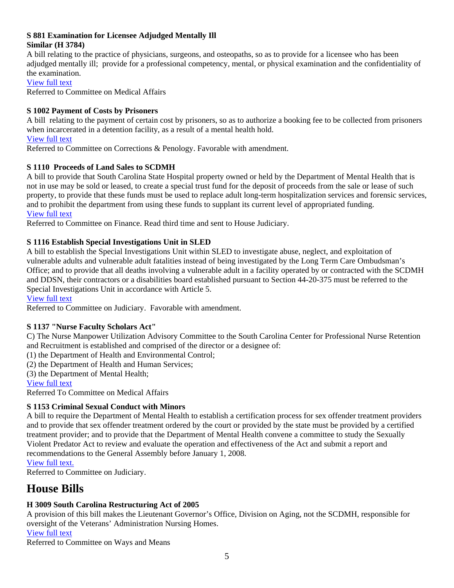#### **S 881 Examination for Licensee Adjudged Mentally Ill**

#### **Similar (H 3784)**

A bill relating to the practice of physicians, surgeons, and osteopaths, so as to provide for a licensee who has been adjudged mentally ill; provide for a professional competency, mental, or physical examination and the confidentiality of the examination.

[View full text](http://www.scstatehouse.net/sess116_2005-2006/bills/881.htm)

Referred to Committee on Medical Affairs

#### **S 1002 Payment of Costs by Prisoners**

A bill relating to the payment of certain cost by prisoners, so as to authorize a booking fee to be collected from prisoners when incarcerated in a detention facility, as a result of a mental health hold.

#### [View full text](http://www.scstatehouse.net/sess116_2005-2006/bills/1002.htm)

Referred to Committee on Corrections & Penology. Favorable with amendment.

#### **S 1110 Proceeds of Land Sales to SCDMH**

A bill to provide that South Carolina State Hospital property owned or held by the Department of Mental Health that is not in use may be sold or leased, to create a special trust fund for the deposit of proceeds from the sale or lease of such property, to provide that these funds must be used to replace adult long-term hospitalization services and forensic services, and to prohibit the department from using these funds to supplant its current level of appropriated funding. [View full text](http://www.scstatehouse.net/sess116_2005-2006/bills/1110.htm)

Referred to Committee on Finance. Read third time and sent to House Judiciary.

#### **S 1116 Establish Special Investigations Unit in SLED**

A bill to establish the Special Investigations Unit within SLED to investigate abuse, neglect, and exploitation of vulnerable adults and vulnerable adult fatalities instead of being investigated by the Long Term Care Ombudsman's Office; and to provide that all deaths involving a vulnerable adult in a facility operated by or contracted with the SCDMH and DDSN, their contractors or a disabilities board established pursuant to Section 44-20-375 must be referred to the Special Investigations Unit in accordance with Article 5.

[View full text](http://www.scstatehouse.net/sess116_2005-2006/bills/1116.htm)

Referred to Committee on Judiciary. Favorable with amendment.

#### **S 1137 "Nurse Faculty Scholars Act"**

C) The Nurse Manpower Utilization Advisory Committee to the South Carolina Center for Professional Nurse Retention and Recruitment is established and comprised of the director or a designee of:

(1) the Department of Health and Environmental Control;

(2) the Department of Health and Human Services;

(3) the Department of Mental Health;

#### [View full text](http://www.scstatehouse.net/sess116_2005-2006/bills/1137.htm)

Referred To Committee on Medical Affairs

#### **S 1153 Criminal Sexual Conduct with Minors**

A bill to require the Department of Mental Health to establish a certification process for sex offender treatment providers and to provide that sex offender treatment ordered by the court or provided by the state must be provided by a certified treatment provider; and to provide that the Department of Mental Health convene a committee to study the Sexually Violent Predator Act to review and evaluate the operation and effectiveness of the Act and submit a report and recommendations to the General Assembly before January 1, 2008.

[View full text.](http://www.scstatehouse.net/sess116_2005-2006/prever/1153_20060216.htm)

Referred to Committee on Judiciary.

# **House Bills**

### **H 3009 South Carolina Restructuring Act of 2005**

A provision of this bill makes the Lieutenant Governor's Office, Division on Aging, not the SCDMH, responsible for oversight of the Veterans' Administration Nursing Homes.

[View full text](http://www.scstatehouse.net/sess116_2005-2006/bills/3009.htm)

Referred to Committee on Ways and Means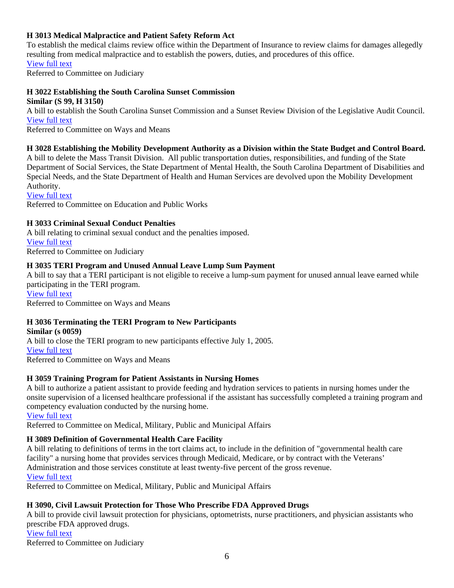#### **H 3013 Medical Malpractice and Patient Safety Reform Act**

To establish the medical claims review office within the Department of Insurance to review claims for damages allegedly resulting from medical malpractice and to establish the powers, duties, and procedures of this office.

[View full text](http://www.scstatehouse.net/sess116_2005-2006/bills/3013.htm)

Referred to Committee on Judiciary

#### **H 3022 Establishing the South Carolina Sunset Commission Similar (S 99, H 3150)**

A bill to establish the South Carolina Sunset Commission and a Sunset Review Division of the Legislative Audit Council. [View full text](http://www.scstatehouse.net/sess116_2005-2006/bills/3022.htm)

Referred to Committee on Ways and Means

#### **H 3028 Establishing the Mobility Development Authority as a Division within the State Budget and Control Board.**

A bill to delete the Mass Transit Division. All public transportation duties, responsibilities, and funding of the State Department of Social Services, the State Department of Mental Health, the South Carolina Department of Disabilities and Special Needs, and the State Department of Health and Human Services are devolved upon the Mobility Development Authority.

[View full text](http://www.scstatehouse.net/sess116_2005-2006/bills/3028.htm)

Referred to Committee on Education and Public Works

#### **H 3033 Criminal Sexual Conduct Penalties**

A bill relating to criminal sexual conduct and the penalties imposed. [View full text](http://www.scstatehouse.net/sess116_2005-2006/bills/3033.htm) Referred to Committee on Judiciary

#### **H 3035 TERI Program and Unused Annual Leave Lump Sum Payment**

A bill to say that a TERI participant is not eligible to receive a lump-sum payment for unused annual leave earned while participating in the TERI program.

[View full text](http://www.scstatehouse.net/sess116_2005-2006/bills/3035.htm) Referred to Committee on Ways and Means

#### **H 3036 Terminating the TERI Program to New Participants**

**Similar (s 0059)**  A bill to close the TERI program to new participants effective July 1, 2005. [View full text](http://www.scstatehouse.net/sess116_2005-2006/bills/3036.htm) Referred to Committee on Ways and Means

#### **H 3059 Training Program for Patient Assistants in Nursing Homes**

A bill to authorize a patient assistant to provide feeding and hydration services to patients in nursing homes under the onsite supervision of a licensed healthcare professional if the assistant has successfully completed a training program and competency evaluation conducted by the nursing home.

[View full text](http://www.scstatehouse.net/sess116_2005-2006/bills/3059.htm)

Referred to Committee on Medical, Military, Public and Municipal Affairs

#### **H 3089 Definition of Governmental Health Care Facility**

A bill relating to definitions of terms in the tort claims act, to include in the definition of "governmental health care facility" a nursing home that provides services through Medicaid, Medicare, or by contract with the Veterans' Administration and those services constitute at least twenty-five percent of the gross revenue. [View full text](http://www.scstatehouse.net/sess116_2005-2006/bills/3089.htm)

Referred to Committee on Medical, Military, Public and Municipal Affairs

#### **H 3090, Civil Lawsuit Protection for Those Who Prescribe FDA Approved Drugs**

A bill to provide civil lawsuit protection for physicians, optometrists, nurse practitioners, and physician assistants who prescribe FDA approved drugs. [View full text](http://www.scstatehouse.net/sess116_2005-2006/bills/3090.htm) Referred to Committee on Judiciary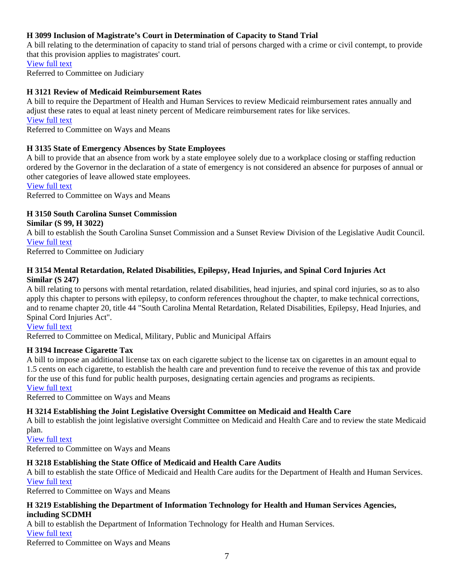#### **H 3099 Inclusion of Magistrate's Court in Determination of Capacity to Stand Trial**

A bill relating to the determination of capacity to stand trial of persons charged with a crime or civil contempt, to provide that this provision applies to magistrates' court.

[View full text](http://www.scstatehouse.net/sess116_2005-2006/bills/3099.htm) Referred to Committee on Judiciary

#### **H 3121 Review of Medicaid Reimbursement Rates**

A bill to require the Department of Health and Human Services to review Medicaid reimbursement rates annually and adjust these rates to equal at least ninety percent of Medicare reimbursement rates for like services. [View full text](http://www.scstatehouse.net/sess116_2005-2006/bills/3121.htm)

Referred to Committee on Ways and Means

#### **H 3135 State of Emergency Absences by State Employees**

A bill to provide that an absence from work by a state employee solely due to a workplace closing or staffing reduction ordered by the Governor in the declaration of a state of emergency is not considered an absence for purposes of annual or other categories of leave allowed state employees.

[View full text](http://www.scstatehouse.net/sess116_2005-2006/bills/3135.htm)

Referred to Committee on Ways and Means

#### **H 3150 South Carolina Sunset Commission**

**Similar (S 99, H 3022)** 

A bill to establish the South Carolina Sunset Commission and a Sunset Review Division of the Legislative Audit Council. [View full text](http://www.scstatehouse.net/sess116_2005-2006/bills/3150.htm)

Referred to Committee on Judiciary

#### **H 3154 Mental Retardation, Related Disabilities, Epilepsy, Head Injuries, and Spinal Cord Injuries Act Similar (S 247)**

A bill relating to persons with mental retardation, related disabilities, head injuries, and spinal cord injuries, so as to also apply this chapter to persons with epilepsy, to conform references throughout the chapter, to make technical corrections, and to rename chapter 20, title 44 "South Carolina Mental Retardation, Related Disabilities, Epilepsy, Head Injuries, and Spinal Cord Injuries Act".

#### [View full text](http://www.scstatehouse.net/sess116_2005-2006/bills/3154.htm)

Re ferred to Committee on Medical, Military, Public and Municipal Affairs

#### **H 3194 Increase Cigarette Tax**

A bill to impose an additional license tax on each cigarette subject to the license tax on cigarettes in an amount equal to 1.5 cents on each cigarette, to establish the health care and prevention fund to receive the revenue of this tax and provide for the use of this fund for public health purposes, designating certain agencies and programs as recipients. [View full text](http://www.scstatehouse.net/sess116_2005-2006/bills/3194.htm)

Referred to Committee on Ways and Means

#### **H 3214 Establishing the Joint Legislative Oversight Committee on Medicaid and Health Care**

A bill to establish the joint legislative oversight Committee on Medicaid and Health Care and to review the state Medicaid plan.

[View full text](http://www.scstatehouse.net/sess116_2005-2006/bills/3214.htm)

Referred to Committee on Ways and Means

#### **H 3218 Establishing the State Office of Medicaid and Health Care Audits**

A bill to establish the state Office of Medicaid and Health Care audits for the Department of Health and Human Services. [View full text](http://www.scstatehouse.net/sess116_2005-2006/bills/3218.htm)

Referred to Committee on Ways and Means

#### **H 3219 Establishing the Department of Information Technology for Health and Human Services Agencies, including SCDMH**

A bill to establish the Department of Information Technology for Health and Human Services.

[View full text](http://www.scstatehouse.net/sess116_2005-2006/bills/3219.htm)

Referred to Committee on Ways and Means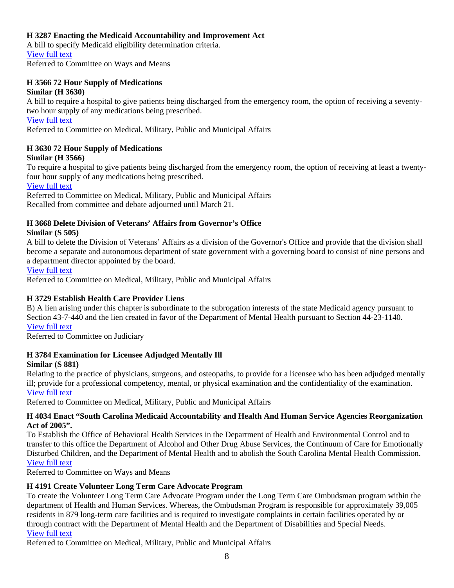#### **H 3287 Enacting the Medicaid Accountability and Improvement Act**

A bill to specify Medicaid eligibility determination criteria. [View full text](http://www.scstatehouse.net/sess116_2005-2006/bills/3287.htm) Referred to Committee on Ways and Means

#### **H 3566 72 Hour Supply of Medications Similar (H 3630)**

A bill to require a hospital to give patients being discharged from the emergency room, the option of receiving a seventytwo hour supply of any medications being prescribed.

[View full text](http://www.scstatehouse.net/sess116_2005-2006/bills/3566.htm)

Referred to Committee on Medical, Military, Public and Municipal Affairs

#### **H 3630 72 Hour Supply of Medications**

#### **Similar (H 3566)**

To require a hospital to give patients being discharged from the emergency room, the option of receiving at least a twentyfour hour supply of any medications being prescribed.

[View full text](http://www.scstatehouse.net/sess116_2005-2006/bills/3630.htm)

Referred to Committee on Medical, Military, Public and Municipal Affairs Recalled from committee and debate adjourned until March 21.

## **H 3668 Delete Division of Veterans' Affairs from Governor's Office**

#### **Similar (S 505)**

A bill to delete the Division of Veterans' Affairs as a division of the Governor's Office and provide that the division shall become a separate and autonomous department of state government with a governing board to consist of nine persons and a department director appointed by the board.

#### [View full text](http://www.scstatehouse.net/sess116_2005-2006/bills/3668.htm)

Referred to Committee on Medical, Military, Public and Municipal Affairs

#### **H 3729 Establish Health Care Provider Liens**

B) A lien arising under this chapter is subordinate to the subrogation interests of the state Medicaid agency pursuant to Section 43-7-440 and the lien created in favor of the Department of Mental Health pursuant to Section 44-23-1140. [View full text](http://www.scstatehouse.net/sess116_2005-2006/bills/3729.htm)

Referred to Committee on Judiciary

#### **H 3784 Examination for Licensee Adjudged Mentally Ill**

#### **Similar (S 881)**

Relating to the practice of physicians, surgeons, and osteopaths, to provide for a licensee who has been adjudged mentally ill; provide for a professional competency, mental, or physical examination and the confidentiality of the examination. [View full text](http://www.scstatehouse.net/sess116_2005-2006/bills/3784.htm)

Referred to Committee on Medical, Military, Public and Municipal Affairs

#### **H 4034 Enact "South Carolina Medicaid Accountability and Health And Human Service Agencies Reorganization Act of 2005".**

To Establish the Office of Behavioral Health Services in the Department of Health and Environmental Control and to transfer to this office the Department of Alcohol and Other Drug Abuse Services, the Continuum of Care for Emotionally Disturbed Children, and the Department of Mental Health and to abolish the South Carolina Mental Health Commission. [View full text](http://www.scstatehouse.net/sess116_2005-2006/bills/4034.htm)

Referred to Committee on Ways and Means

#### **H 4191 Create Volunteer Long Term Care Advocate Program**

To create the Volunteer Long Term Care Advocate Program under the Long Term Care Ombudsman program within the department of Health and Human Services. Whereas, the Ombudsman Program is responsible for approximately 39,005 residents in 879 long-term care facilities and is required to investigate complaints in certain facilities operated by or through contract with the Department of Mental Health and the Department of Disabilities and Special Needs. [View full text](http://www.scstatehouse.net/sess116_2005-2006/bills/4191.htm)

Referred to Committee on Medical, Military, Public and Municipal Affairs